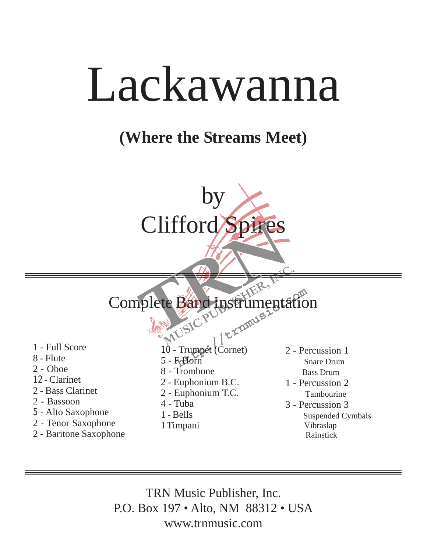## Lackawanna

### **(Where the Streams Meet)**



# Complete Band Instrumentation

- 1 Full Score
- 8 Flute
- 2 Oboe
- 12 Clarinet
- 2 Bass Clarinet
- 2 Bassoon
- 5 Alto Saxophone
- 2 Tenor Saxophone
- 2 Baritone Saxophone
- 10 Trumpet (Cornet)
- $5 R$  Horn
- 8 Trombone
- 2 Euphonium B.C.
- 2 Euphonium T.C.
- 4 Tuba
- 1 Bells
- 1 Timpani
- 2 Percussion 1 Snare Drum Bass Drum 1 - Percussion 2 Tambourine 3 - Percussion 3
	- Suspended Cymbals Vibraslap Rainstick

TRN Music Publisher, Inc. P.O. Box 197 • Alto, NM 88312 • USA www.trnmusic.com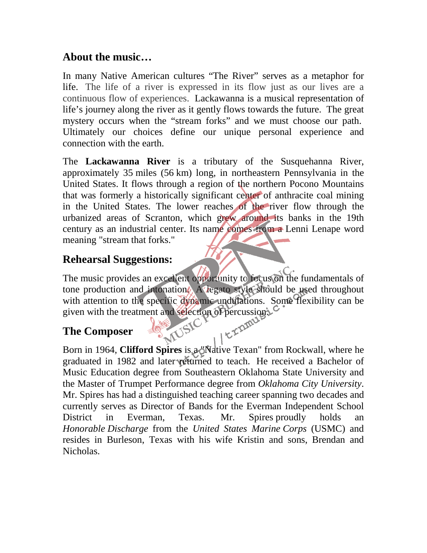#### **About the music…**

In many Native American cultures "The River" serves as a metaphor for life. The life of a river is expressed in its flow just as our lives are a continuous flow of experiences. Lackawanna is a musical representation of life's journey along the river as it gently flows towards the future. The great mystery occurs when the "stream forks" and we must choose our path. Ultimately our choices define our unique personal experience and connection with the earth.

The **Lackawanna River** is a tributary of the Susquehanna River, approximately 35 miles (56 km) long, in northeastern Pennsylvania in the United States. It flows through a region of the northern Pocono Mountains that was formerly a historically significant center of anthracite coal mining in the United States. The lower reaches of the river flow through the urbanized areas of Scranton, which grew around its banks in the 19th century as an industrial center. Its name comes from a Lenni Lenape word meaning "stream that forks."

#### **Rehearsal Suggestions:**

The music provides an excellent opportunity to focus on the fundamentals of tone production and intonation. A legato style should be used throughout with attention to the specific dynamic undulations. Some flexibility can be given with the treatment and selection of percussions.

#### **The Composer**

Born in 1964, **Clifford Spires** is a Native Texan" from Rockwall, where he graduated in 1982 and later returned to teach. He received a Bachelor of Music Education degree from Southeastern Oklahoma State University and the Master of Trumpet Performance degree from *Oklahoma City University*. Mr. Spires has had a distinguished teaching career spanning two decades and currently serves as Director of Bands for the Everman Independent School District in Everman, Texas. Mr. Spires proudly holds an *Honorable Discharge* from the *United States Marine Corps* (USMC) and resides in Burleson, Texas with his wife Kristin and sons, Brendan and Nicholas.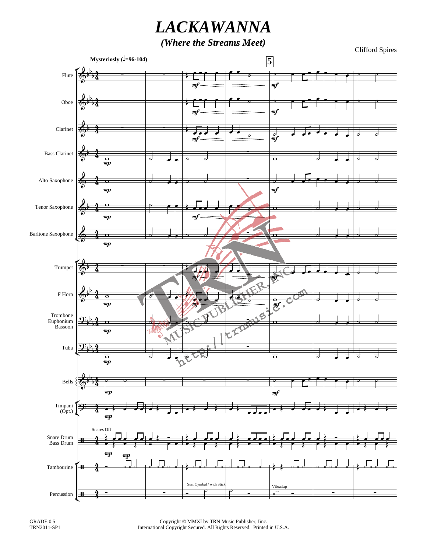*LACKAWANNA*

*(Where the Streams Meet)*

Clifford Spires



Copyright © MMXI by TRN Music Publisher, Iinc. International Copyright Secured. All Rights Reserved. Printed in U.S.A.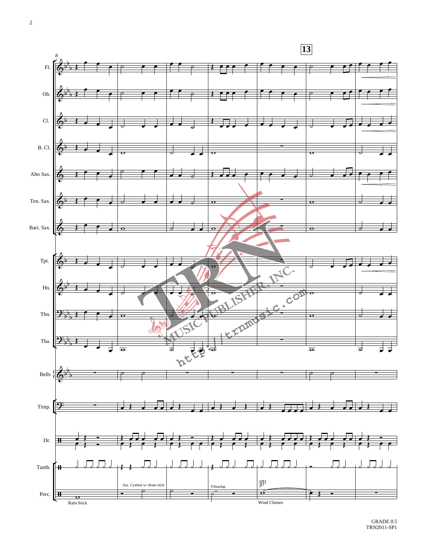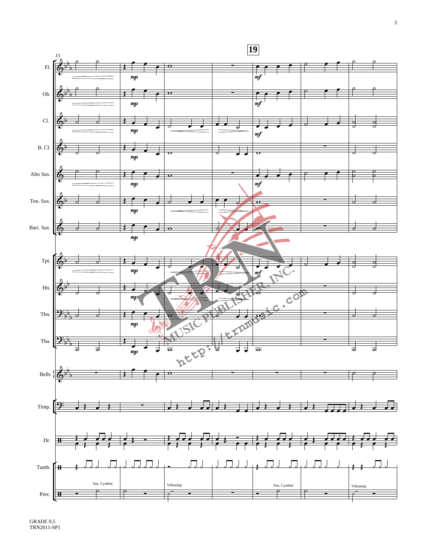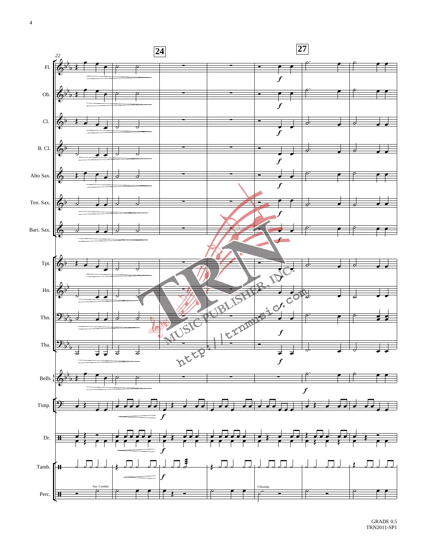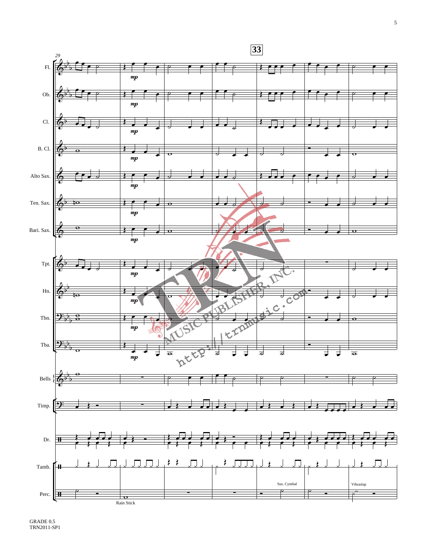